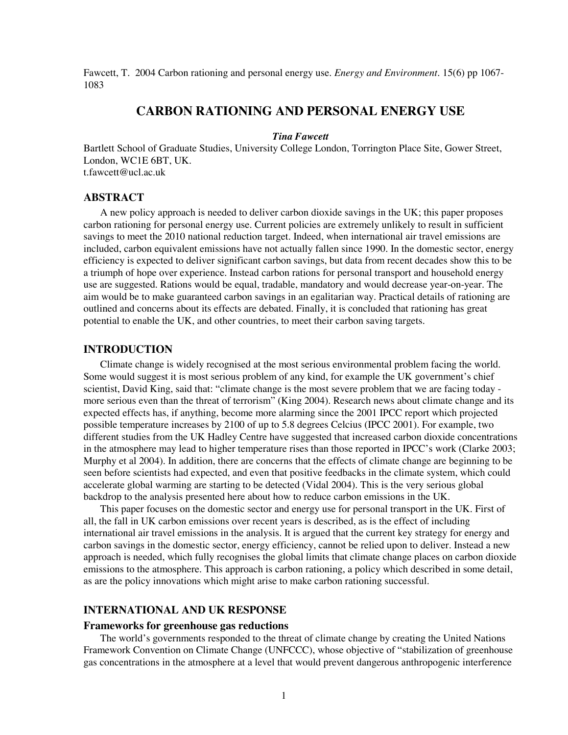Fawcett, T. 2004 Carbon rationing and personal energy use. *Energy and Environment*. 15(6) pp 1067- 1083

# **CARBON RATIONING AND PERSONAL ENERGY USE**

### *Tina Fawcett*

Bartlett School of Graduate Studies, University College London, Torrington Place Site, Gower Street, London, WC1E 6BT, UK. t.fawcett@ucl.ac.uk

#### **ABSTRACT**

A new policy approach is needed to deliver carbon dioxide savings in the UK; this paper proposes carbon rationing for personal energy use. Current policies are extremely unlikely to result in sufficient savings to meet the 2010 national reduction target. Indeed, when international air travel emissions are included, carbon equivalent emissions have not actually fallen since 1990. In the domestic sector, energy efficiency is expected to deliver significant carbon savings, but data from recent decades show this to be a triumph of hope over experience. Instead carbon rations for personal transport and household energy use are suggested. Rations would be equal, tradable, mandatory and would decrease year-on-year. The aim would be to make guaranteed carbon savings in an egalitarian way. Practical details of rationing are outlined and concerns about its effects are debated. Finally, it is concluded that rationing has great potential to enable the UK, and other countries, to meet their carbon saving targets.

# **INTRODUCTION**

Climate change is widely recognised at the most serious environmental problem facing the world. Some would suggest it is most serious problem of any kind, for example the UK government's chief scientist, David King, said that: "climate change is the most severe problem that we are facing today more serious even than the threat of terrorism" (King 2004). Research news about climate change and its expected effects has, if anything, become more alarming since the 2001 IPCC report which projected possible temperature increases by 2100 of up to 5.8 degrees Celcius (IPCC 2001). For example, two different studies from the UK Hadley Centre have suggested that increased carbon dioxide concentrations in the atmosphere may lead to higher temperature rises than those reported in IPCC's work (Clarke 2003; Murphy et al 2004). In addition, there are concerns that the effects of climate change are beginning to be seen before scientists had expected, and even that positive feedbacks in the climate system, which could accelerate global warming are starting to be detected (Vidal 2004). This is the very serious global backdrop to the analysis presented here about how to reduce carbon emissions in the UK.

This paper focuses on the domestic sector and energy use for personal transport in the UK. First of all, the fall in UK carbon emissions over recent years is described, as is the effect of including international air travel emissions in the analysis. It is argued that the current key strategy for energy and carbon savings in the domestic sector, energy efficiency, cannot be relied upon to deliver. Instead a new approach is needed, which fully recognises the global limits that climate change places on carbon dioxide emissions to the atmosphere. This approach is carbon rationing, a policy which described in some detail, as are the policy innovations which might arise to make carbon rationing successful.

# **INTERNATIONAL AND UK RESPONSE**

#### **Frameworks for greenhouse gas reductions**

The world's governments responded to the threat of climate change by creating the United Nations Framework Convention on Climate Change (UNFCCC), whose objective of "stabilization of greenhouse gas concentrations in the atmosphere at a level that would prevent dangerous anthropogenic interference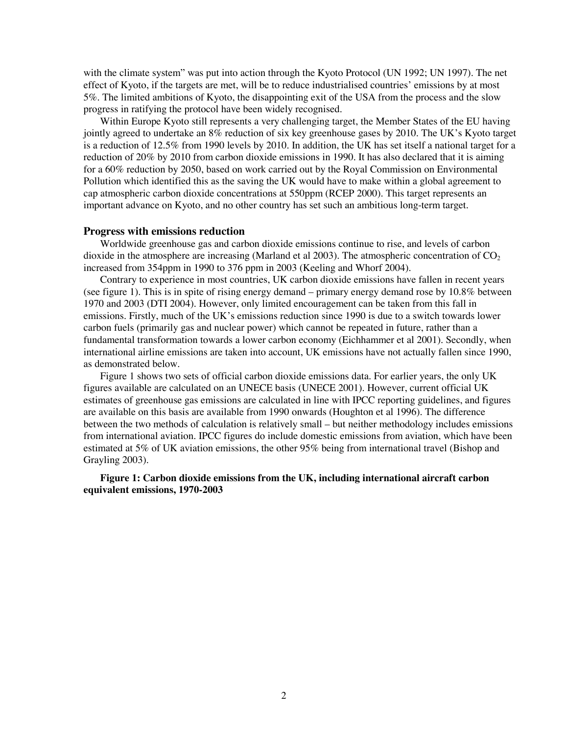with the climate system" was put into action through the Kyoto Protocol (UN 1992; UN 1997). The net effect of Kyoto, if the targets are met, will be to reduce industrialised countries' emissions by at most 5%. The limited ambitions of Kyoto, the disappointing exit of the USA from the process and the slow progress in ratifying the protocol have been widely recognised.

Within Europe Kyoto still represents a very challenging target, the Member States of the EU having jointly agreed to undertake an 8% reduction of six key greenhouse gases by 2010. The UK's Kyoto target is a reduction of 12.5% from 1990 levels by 2010. In addition, the UK has set itself a national target for a reduction of 20% by 2010 from carbon dioxide emissions in 1990. It has also declared that it is aiming for a 60% reduction by 2050, based on work carried out by the Royal Commission on Environmental Pollution which identified this as the saving the UK would have to make within a global agreement to cap atmospheric carbon dioxide concentrations at 550ppm (RCEP 2000). This target represents an important advance on Kyoto, and no other country has set such an ambitious long-term target.

## **Progress with emissions reduction**

Worldwide greenhouse gas and carbon dioxide emissions continue to rise, and levels of carbon dioxide in the atmosphere are increasing (Marland et al 2003). The atmospheric concentration of  $CO<sub>2</sub>$ increased from 354ppm in 1990 to 376 ppm in 2003 (Keeling and Whorf 2004).

Contrary to experience in most countries, UK carbon dioxide emissions have fallen in recent years (see figure 1). This is in spite of rising energy demand – primary energy demand rose by 10.8% between 1970 and 2003 (DTI 2004). However, only limited encouragement can be taken from this fall in emissions. Firstly, much of the UK's emissions reduction since 1990 is due to a switch towards lower carbon fuels (primarily gas and nuclear power) which cannot be repeated in future, rather than a fundamental transformation towards a lower carbon economy (Eichhammer et al 2001). Secondly, when international airline emissions are taken into account, UK emissions have not actually fallen since 1990, as demonstrated below.

Figure 1 shows two sets of official carbon dioxide emissions data. For earlier years, the only UK figures available are calculated on an UNECE basis (UNECE 2001). However, current official UK estimates of greenhouse gas emissions are calculated in line with IPCC reporting guidelines, and figures are available on this basis are available from 1990 onwards (Houghton et al 1996). The difference between the two methods of calculation is relatively small – but neither methodology includes emissions from international aviation. IPCC figures do include domestic emissions from aviation, which have been estimated at 5% of UK aviation emissions, the other 95% being from international travel (Bishop and Grayling 2003).

**Figure 1: Carbon dioxide emissions from the UK, including international aircraft carbon equivalent emissions, 1970-2003**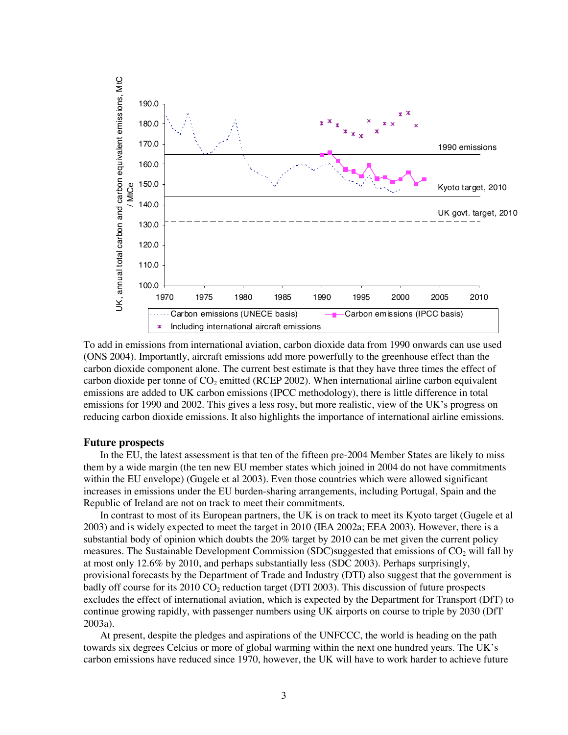

To add in emissions from international aviation, carbon dioxide data from 1990 onwards can use used (ONS 2004). Importantly, aircraft emissions add more powerfully to the greenhouse effect than the carbon dioxide component alone. The current best estimate is that they have three times the effect of carbon dioxide per tonne of  $CO<sub>2</sub>$  emitted (RCEP 2002). When international airline carbon equivalent emissions are added to UK carbon emissions (IPCC methodology), there is little difference in total emissions for 1990 and 2002. This gives a less rosy, but more realistic, view of the UK's progress on reducing carbon dioxide emissions. It also highlights the importance of international airline emissions.

### **Future prospects**

In the EU, the latest assessment is that ten of the fifteen pre-2004 Member States are likely to miss them by a wide margin (the ten new EU member states which joined in 2004 do not have commitments within the EU envelope) (Gugele et al 2003). Even those countries which were allowed significant increases in emissions under the EU burden-sharing arrangements, including Portugal, Spain and the Republic of Ireland are not on track to meet their commitments.

In contrast to most of its European partners, the UK is on track to meet its Kyoto target (Gugele et al 2003) and is widely expected to meet the target in 2010 (IEA 2002a; EEA 2003). However, there is a substantial body of opinion which doubts the 20% target by 2010 can be met given the current policy measures. The Sustainable Development Commission (SDC)suggested that emissions of  $CO<sub>2</sub>$  will fall by at most only 12.6% by 2010, and perhaps substantially less (SDC 2003). Perhaps surprisingly, provisional forecasts by the Department of Trade and Industry (DTI) also suggest that the government is badly off course for its  $2010 \text{ CO}_2$  reduction target (DTI 2003). This discussion of future prospects excludes the effect of international aviation, which is expected by the Department for Transport (DfT) to continue growing rapidly, with passenger numbers using UK airports on course to triple by 2030 (DfT 2003a).

At present, despite the pledges and aspirations of the UNFCCC, the world is heading on the path towards six degrees Celcius or more of global warming within the next one hundred years. The UK's carbon emissions have reduced since 1970, however, the UK will have to work harder to achieve future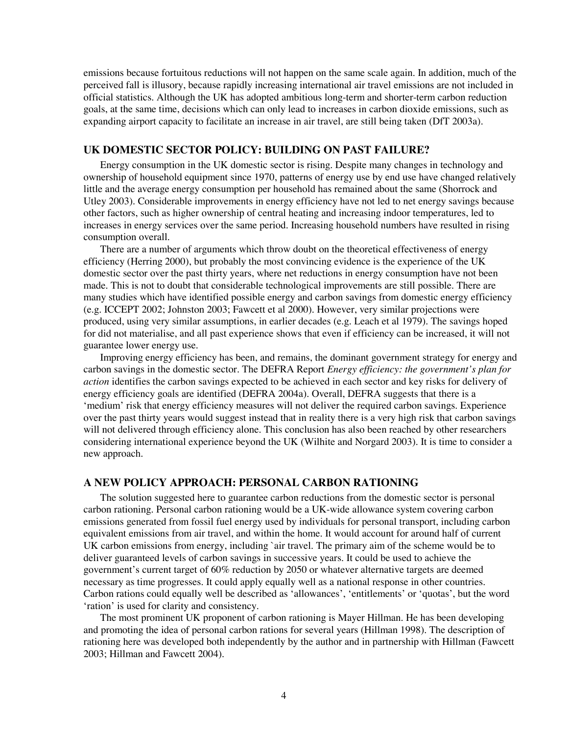emissions because fortuitous reductions will not happen on the same scale again. In addition, much of the perceived fall is illusory, because rapidly increasing international air travel emissions are not included in official statistics. Although the UK has adopted ambitious long-term and shorter-term carbon reduction goals, at the same time, decisions which can only lead to increases in carbon dioxide emissions, such as expanding airport capacity to facilitate an increase in air travel, are still being taken (DfT 2003a).

## **UK DOMESTIC SECTOR POLICY: BUILDING ON PAST FAILURE?**

Energy consumption in the UK domestic sector is rising. Despite many changes in technology and ownership of household equipment since 1970, patterns of energy use by end use have changed relatively little and the average energy consumption per household has remained about the same (Shorrock and Utley 2003). Considerable improvements in energy efficiency have not led to net energy savings because other factors, such as higher ownership of central heating and increasing indoor temperatures, led to increases in energy services over the same period. Increasing household numbers have resulted in rising consumption overall.

There are a number of arguments which throw doubt on the theoretical effectiveness of energy efficiency (Herring 2000), but probably the most convincing evidence is the experience of the UK domestic sector over the past thirty years, where net reductions in energy consumption have not been made. This is not to doubt that considerable technological improvements are still possible. There are many studies which have identified possible energy and carbon savings from domestic energy efficiency (e.g. ICCEPT 2002; Johnston 2003; Fawcett et al 2000). However, very similar projections were produced, using very similar assumptions, in earlier decades (e.g. Leach et al 1979). The savings hoped for did not materialise, and all past experience shows that even if efficiency can be increased, it will not guarantee lower energy use.

Improving energy efficiency has been, and remains, the dominant government strategy for energy and carbon savings in the domestic sector. The DEFRA Report *Energy efficiency: the government's plan for action* identifies the carbon savings expected to be achieved in each sector and key risks for delivery of energy efficiency goals are identified (DEFRA 2004a). Overall, DEFRA suggests that there is a 'medium' risk that energy efficiency measures will not deliver the required carbon savings. Experience over the past thirty years would suggest instead that in reality there is a very high risk that carbon savings will not delivered through efficiency alone. This conclusion has also been reached by other researchers considering international experience beyond the UK (Wilhite and Norgard 2003). It is time to consider a new approach.

## **A NEW POLICY APPROACH: PERSONAL CARBON RATIONING**

The solution suggested here to guarantee carbon reductions from the domestic sector is personal carbon rationing. Personal carbon rationing would be a UK-wide allowance system covering carbon emissions generated from fossil fuel energy used by individuals for personal transport, including carbon equivalent emissions from air travel, and within the home. It would account for around half of current UK carbon emissions from energy, including `air travel. The primary aim of the scheme would be to deliver guaranteed levels of carbon savings in successive years. It could be used to achieve the government's current target of 60% reduction by 2050 or whatever alternative targets are deemed necessary as time progresses. It could apply equally well as a national response in other countries. Carbon rations could equally well be described as 'allowances', 'entitlements' or 'quotas', but the word 'ration' is used for clarity and consistency.

The most prominent UK proponent of carbon rationing is Mayer Hillman. He has been developing and promoting the idea of personal carbon rations for several years (Hillman 1998). The description of rationing here was developed both independently by the author and in partnership with Hillman (Fawcett 2003; Hillman and Fawcett 2004).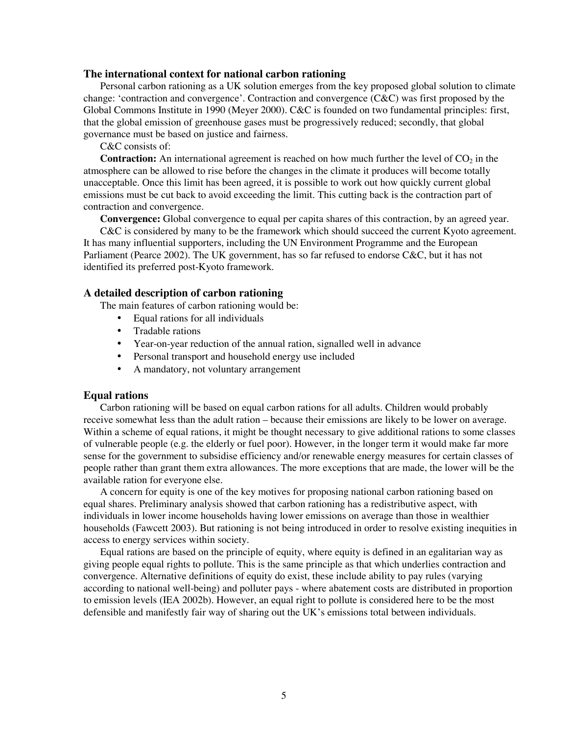### **The international context for national carbon rationing**

Personal carbon rationing as a UK solution emerges from the key proposed global solution to climate change: 'contraction and convergence'. Contraction and convergence (C&C) was first proposed by the Global Commons Institute in 1990 (Meyer 2000). C&C is founded on two fundamental principles: first, that the global emission of greenhouse gases must be progressively reduced; secondly, that global governance must be based on justice and fairness.

C&C consists of:

**Contraction:** An international agreement is reached on how much further the level of  $CO<sub>2</sub>$  in the atmosphere can be allowed to rise before the changes in the climate it produces will become totally unacceptable. Once this limit has been agreed, it is possible to work out how quickly current global emissions must be cut back to avoid exceeding the limit. This cutting back is the contraction part of contraction and convergence.

**Convergence:** Global convergence to equal per capita shares of this contraction, by an agreed year.

C&C is considered by many to be the framework which should succeed the current Kyoto agreement. It has many influential supporters, including the UN Environment Programme and the European Parliament (Pearce 2002). The UK government, has so far refused to endorse C&C, but it has not identified its preferred post-Kyoto framework.

## **A detailed description of carbon rationing**

The main features of carbon rationing would be:

- Equal rations for all individuals
- Tradable rations
- Year-on-year reduction of the annual ration, signalled well in advance
- Personal transport and household energy use included
- A mandatory, not voluntary arrangement

## **Equal rations**

Carbon rationing will be based on equal carbon rations for all adults. Children would probably receive somewhat less than the adult ration – because their emissions are likely to be lower on average. Within a scheme of equal rations, it might be thought necessary to give additional rations to some classes of vulnerable people (e.g. the elderly or fuel poor). However, in the longer term it would make far more sense for the government to subsidise efficiency and/or renewable energy measures for certain classes of people rather than grant them extra allowances. The more exceptions that are made, the lower will be the available ration for everyone else.

A concern for equity is one of the key motives for proposing national carbon rationing based on equal shares. Preliminary analysis showed that carbon rationing has a redistributive aspect, with individuals in lower income households having lower emissions on average than those in wealthier households (Fawcett 2003). But rationing is not being introduced in order to resolve existing inequities in access to energy services within society.

Equal rations are based on the principle of equity, where equity is defined in an egalitarian way as giving people equal rights to pollute. This is the same principle as that which underlies contraction and convergence. Alternative definitions of equity do exist, these include ability to pay rules (varying according to national well-being) and polluter pays - where abatement costs are distributed in proportion to emission levels (IEA 2002b). However, an equal right to pollute is considered here to be the most defensible and manifestly fair way of sharing out the UK's emissions total between individuals.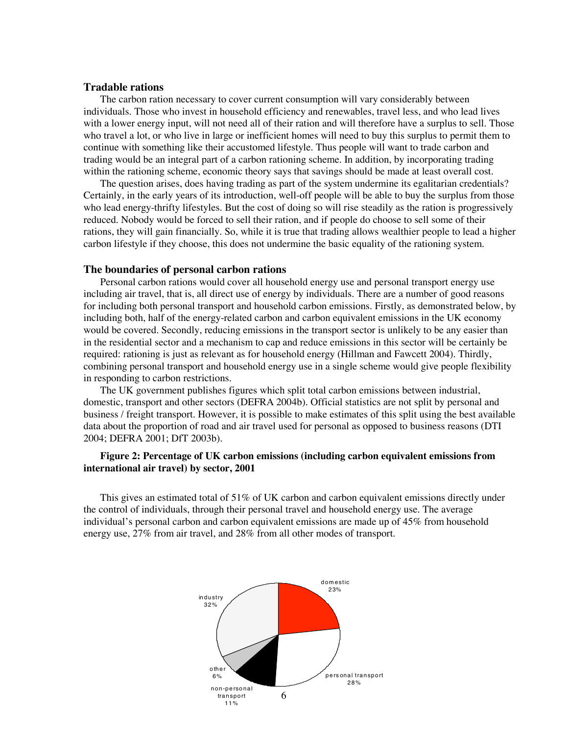## **Tradable rations**

The carbon ration necessary to cover current consumption will vary considerably between individuals. Those who invest in household efficiency and renewables, travel less, and who lead lives with a lower energy input, will not need all of their ration and will therefore have a surplus to sell. Those who travel a lot, or who live in large or inefficient homes will need to buy this surplus to permit them to continue with something like their accustomed lifestyle. Thus people will want to trade carbon and trading would be an integral part of a carbon rationing scheme. In addition, by incorporating trading within the rationing scheme, economic theory says that savings should be made at least overall cost.

The question arises, does having trading as part of the system undermine its egalitarian credentials? Certainly, in the early years of its introduction, well-off people will be able to buy the surplus from those who lead energy-thrifty lifestyles. But the cost of doing so will rise steadily as the ration is progressively reduced. Nobody would be forced to sell their ration, and if people do choose to sell some of their rations, they will gain financially. So, while it is true that trading allows wealthier people to lead a higher carbon lifestyle if they choose, this does not undermine the basic equality of the rationing system.

## **The boundaries of personal carbon rations**

Personal carbon rations would cover all household energy use and personal transport energy use including air travel, that is, all direct use of energy by individuals. There are a number of good reasons for including both personal transport and household carbon emissions. Firstly, as demonstrated below, by including both, half of the energy-related carbon and carbon equivalent emissions in the UK economy would be covered. Secondly, reducing emissions in the transport sector is unlikely to be any easier than in the residential sector and a mechanism to cap and reduce emissions in this sector will be certainly be required: rationing is just as relevant as for household energy (Hillman and Fawcett 2004). Thirdly, combining personal transport and household energy use in a single scheme would give people flexibility in responding to carbon restrictions.

The UK government publishes figures which split total carbon emissions between industrial, domestic, transport and other sectors (DEFRA 2004b). Official statistics are not split by personal and business / freight transport. However, it is possible to make estimates of this split using the best available data about the proportion of road and air travel used for personal as opposed to business reasons (DTI 2004; DEFRA 2001; DfT 2003b).

## **Figure 2: Percentage of UK carbon emissions (including carbon equivalent emissions from international air travel) by sector, 2001**

This gives an estimated total of 51% of UK carbon and carbon equivalent emissions directly under the control of individuals, through their personal travel and household energy use. The average individual's personal carbon and carbon equivalent emissions are made up of 45% from household energy use, 27% from air travel, and 28% from all other modes of transport.

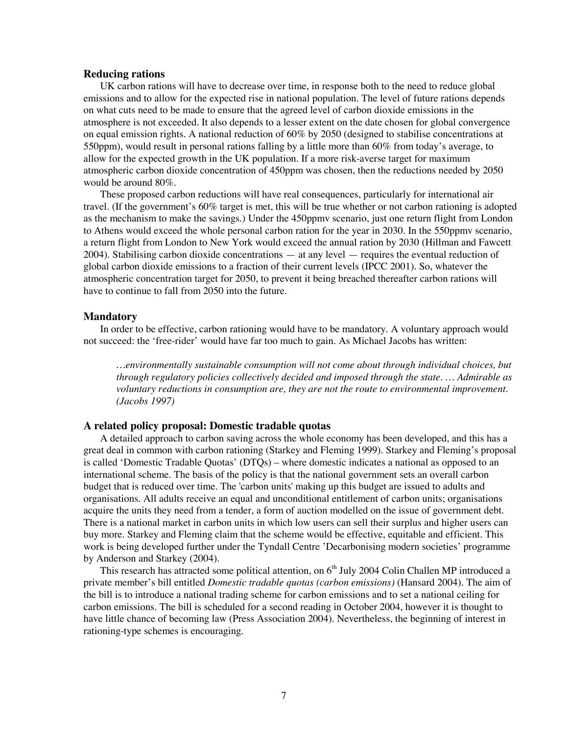### **Reducing rations**

UK carbon rations will have to decrease over time, in response both to the need to reduce global emissions and to allow for the expected rise in national population. The level of future rations depends on what cuts need to be made to ensure that the agreed level of carbon dioxide emissions in the atmosphere is not exceeded. It also depends to a lesser extent on the date chosen for global convergence on equal emission rights. A national reduction of 60% by 2050 (designed to stabilise concentrations at 550ppm), would result in personal rations falling by a little more than 60% from today's average, to allow for the expected growth in the UK population. If a more risk-averse target for maximum atmospheric carbon dioxide concentration of 450ppm was chosen, then the reductions needed by 2050 would be around 80%.

These proposed carbon reductions will have real consequences, particularly for international air travel. (If the government's 60% target is met, this will be true whether or not carbon rationing is adopted as the mechanism to make the savings.) Under the 450ppmv scenario, just one return flight from London to Athens would exceed the whole personal carbon ration for the year in 2030. In the 550ppmv scenario, a return flight from London to New York would exceed the annual ration by 2030 (Hillman and Fawcett 2004). Stabilising carbon dioxide concentrations — at any level — requires the eventual reduction of global carbon dioxide emissions to a fraction of their current levels (IPCC 2001). So, whatever the atmospheric concentration target for 2050, to prevent it being breached thereafter carbon rations will have to continue to fall from 2050 into the future.

#### **Mandatory**

In order to be effective, carbon rationing would have to be mandatory. A voluntary approach would not succeed: the 'free-rider' would have far too much to gain. As Michael Jacobs has written:

*…environmentally sustainable consumption will not come about through individual choices, but through regulatory policies collectively decided and imposed through the state. … Admirable as voluntary reductions in consumption are, they are not the route to environmental improvement. (Jacobs 1997)*

#### **A related policy proposal: Domestic tradable quotas**

A detailed approach to carbon saving across the whole economy has been developed, and this has a great deal in common with carbon rationing (Starkey and Fleming 1999). Starkey and Fleming's proposal is called 'Domestic Tradable Quotas' (DTQs) – where domestic indicates a national as opposed to an international scheme. The basis of the policy is that the national government sets an overall carbon budget that is reduced over time. The 'carbon units' making up this budget are issued to adults and organisations. All adults receive an equal and unconditional entitlement of carbon units; organisations acquire the units they need from a tender, a form of auction modelled on the issue of government debt. There is a national market in carbon units in which low users can sell their surplus and higher users can buy more. Starkey and Fleming claim that the scheme would be effective, equitable and efficient. This work is being developed further under the Tyndall Centre 'Decarbonising modern societies' programme by Anderson and Starkey (2004).

This research has attracted some political attention, on  $6<sup>th</sup>$  July 2004 Colin Challen MP introduced a private member's bill entitled *Domestic tradable quotas (carbon emissions)* (Hansard 2004). The aim of the bill is to introduce a national trading scheme for carbon emissions and to set a national ceiling for carbon emissions. The bill is scheduled for a second reading in October 2004, however it is thought to have little chance of becoming law (Press Association 2004). Nevertheless, the beginning of interest in rationing-type schemes is encouraging.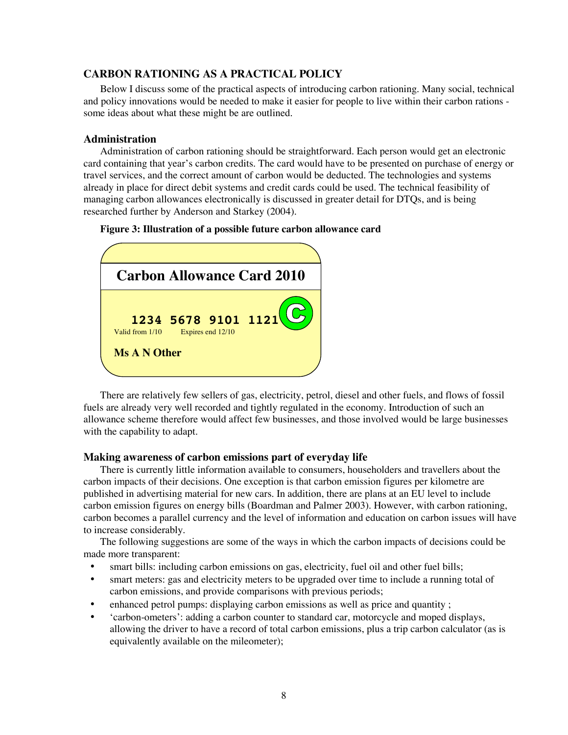# **CARBON RATIONING AS A PRACTICAL POLICY**

Below I discuss some of the practical aspects of introducing carbon rationing. Many social, technical and policy innovations would be needed to make it easier for people to live within their carbon rations some ideas about what these might be are outlined.

### **Administration**

Administration of carbon rationing should be straightforward. Each person would get an electronic card containing that year's carbon credits. The card would have to be presented on purchase of energy or travel services, and the correct amount of carbon would be deducted. The technologies and systems already in place for direct debit systems and credit cards could be used. The technical feasibility of managing carbon allowances electronically is discussed in greater detail for DTQs, and is being researched further by Anderson and Starkey (2004).





There are relatively few sellers of gas, electricity, petrol, diesel and other fuels, and flows of fossil fuels are already very well recorded and tightly regulated in the economy. Introduction of such an allowance scheme therefore would affect few businesses, and those involved would be large businesses with the capability to adapt.

#### **Making awareness of carbon emissions part of everyday life**

There is currently little information available to consumers, householders and travellers about the carbon impacts of their decisions. One exception is that carbon emission figures per kilometre are published in advertising material for new cars. In addition, there are plans at an EU level to include carbon emission figures on energy bills (Boardman and Palmer 2003). However, with carbon rationing, carbon becomes a parallel currency and the level of information and education on carbon issues will have to increase considerably.

The following suggestions are some of the ways in which the carbon impacts of decisions could be made more transparent:

- smart bills: including carbon emissions on gas, electricity, fuel oil and other fuel bills;
- smart meters: gas and electricity meters to be upgraded over time to include a running total of carbon emissions, and provide comparisons with previous periods;
- enhanced petrol pumps: displaying carbon emissions as well as price and quantity;
- 'carbon-ometers': adding a carbon counter to standard car, motorcycle and moped displays, allowing the driver to have a record of total carbon emissions, plus a trip carbon calculator (as is equivalently available on the mileometer);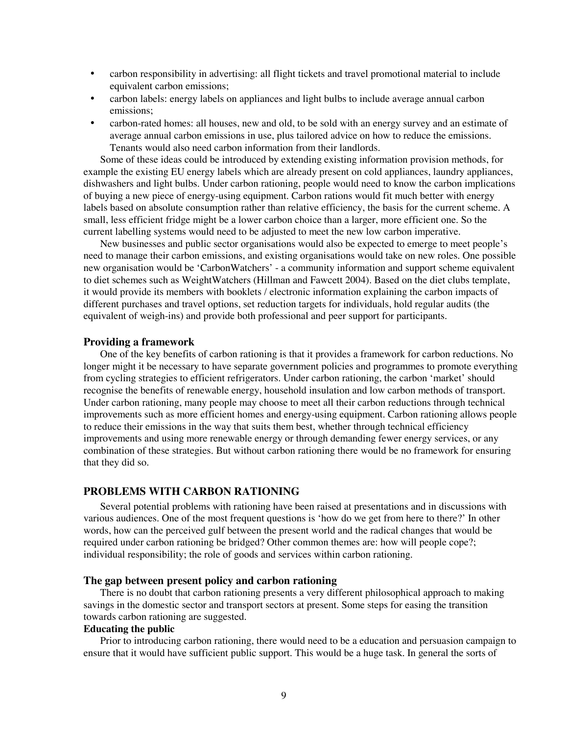- carbon responsibility in advertising: all flight tickets and travel promotional material to include equivalent carbon emissions;
- carbon labels: energy labels on appliances and light bulbs to include average annual carbon emissions;
- carbon-rated homes: all houses, new and old, to be sold with an energy survey and an estimate of average annual carbon emissions in use, plus tailored advice on how to reduce the emissions. Tenants would also need carbon information from their landlords.

Some of these ideas could be introduced by extending existing information provision methods, for example the existing EU energy labels which are already present on cold appliances, laundry appliances, dishwashers and light bulbs. Under carbon rationing, people would need to know the carbon implications of buying a new piece of energy-using equipment. Carbon rations would fit much better with energy labels based on absolute consumption rather than relative efficiency, the basis for the current scheme. A small, less efficient fridge might be a lower carbon choice than a larger, more efficient one. So the current labelling systems would need to be adjusted to meet the new low carbon imperative.

New businesses and public sector organisations would also be expected to emerge to meet people's need to manage their carbon emissions, and existing organisations would take on new roles. One possible new organisation would be 'CarbonWatchers' - a community information and support scheme equivalent to diet schemes such as WeightWatchers (Hillman and Fawcett 2004). Based on the diet clubs template, it would provide its members with booklets / electronic information explaining the carbon impacts of different purchases and travel options, set reduction targets for individuals, hold regular audits (the equivalent of weigh-ins) and provide both professional and peer support for participants.

## **Providing a framework**

One of the key benefits of carbon rationing is that it provides a framework for carbon reductions. No longer might it be necessary to have separate government policies and programmes to promote everything from cycling strategies to efficient refrigerators. Under carbon rationing, the carbon 'market' should recognise the benefits of renewable energy, household insulation and low carbon methods of transport. Under carbon rationing, many people may choose to meet all their carbon reductions through technical improvements such as more efficient homes and energy-using equipment. Carbon rationing allows people to reduce their emissions in the way that suits them best, whether through technical efficiency improvements and using more renewable energy or through demanding fewer energy services, or any combination of these strategies. But without carbon rationing there would be no framework for ensuring that they did so.

# **PROBLEMS WITH CARBON RATIONING**

Several potential problems with rationing have been raised at presentations and in discussions with various audiences. One of the most frequent questions is 'how do we get from here to there?' In other words, how can the perceived gulf between the present world and the radical changes that would be required under carbon rationing be bridged? Other common themes are: how will people cope?; individual responsibility; the role of goods and services within carbon rationing.

#### **The gap between present policy and carbon rationing**

There is no doubt that carbon rationing presents a very different philosophical approach to making savings in the domestic sector and transport sectors at present. Some steps for easing the transition towards carbon rationing are suggested.

## **Educating the public**

Prior to introducing carbon rationing, there would need to be a education and persuasion campaign to ensure that it would have sufficient public support. This would be a huge task. In general the sorts of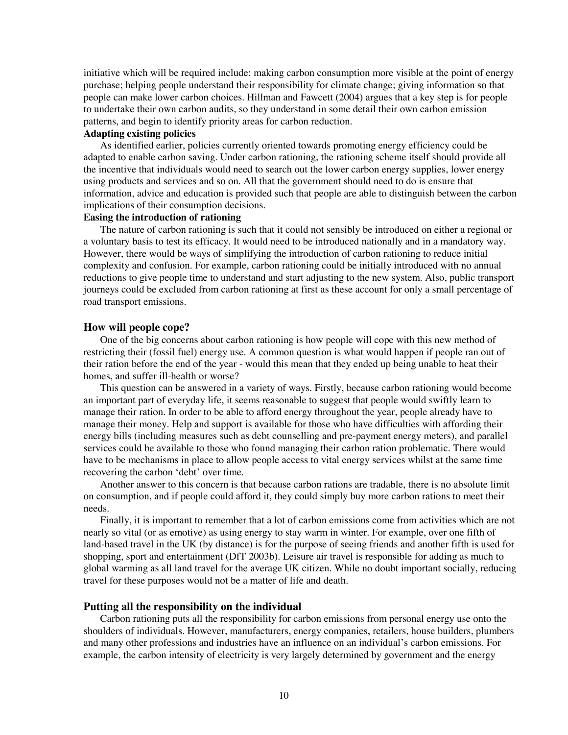initiative which will be required include: making carbon consumption more visible at the point of energy purchase; helping people understand their responsibility for climate change; giving information so that people can make lower carbon choices. Hillman and Fawcett (2004) argues that a key step is for people to undertake their own carbon audits, so they understand in some detail their own carbon emission patterns, and begin to identify priority areas for carbon reduction.

# **Adapting existing policies**

As identified earlier, policies currently oriented towards promoting energy efficiency could be adapted to enable carbon saving. Under carbon rationing, the rationing scheme itself should provide all the incentive that individuals would need to search out the lower carbon energy supplies, lower energy using products and services and so on. All that the government should need to do is ensure that information, advice and education is provided such that people are able to distinguish between the carbon implications of their consumption decisions.

# **Easing the introduction of rationing**

The nature of carbon rationing is such that it could not sensibly be introduced on either a regional or a voluntary basis to test its efficacy. It would need to be introduced nationally and in a mandatory way. However, there would be ways of simplifying the introduction of carbon rationing to reduce initial complexity and confusion. For example, carbon rationing could be initially introduced with no annual reductions to give people time to understand and start adjusting to the new system. Also, public transport journeys could be excluded from carbon rationing at first as these account for only a small percentage of road transport emissions.

#### **How will people cope?**

One of the big concerns about carbon rationing is how people will cope with this new method of restricting their (fossil fuel) energy use. A common question is what would happen if people ran out of their ration before the end of the year - would this mean that they ended up being unable to heat their homes, and suffer ill-health or worse?

This question can be answered in a variety of ways. Firstly, because carbon rationing would become an important part of everyday life, it seems reasonable to suggest that people would swiftly learn to manage their ration. In order to be able to afford energy throughout the year, people already have to manage their money. Help and support is available for those who have difficulties with affording their energy bills (including measures such as debt counselling and pre-payment energy meters), and parallel services could be available to those who found managing their carbon ration problematic. There would have to be mechanisms in place to allow people access to vital energy services whilst at the same time recovering the carbon 'debt' over time.

Another answer to this concern is that because carbon rations are tradable, there is no absolute limit on consumption, and if people could afford it, they could simply buy more carbon rations to meet their needs.

Finally, it is important to remember that a lot of carbon emissions come from activities which are not nearly so vital (or as emotive) as using energy to stay warm in winter. For example, over one fifth of land-based travel in the UK (by distance) is for the purpose of seeing friends and another fifth is used for shopping, sport and entertainment (DfT 2003b). Leisure air travel is responsible for adding as much to global warming as all land travel for the average UK citizen. While no doubt important socially, reducing travel for these purposes would not be a matter of life and death.

### **Putting all the responsibility on the individual**

Carbon rationing puts all the responsibility for carbon emissions from personal energy use onto the shoulders of individuals. However, manufacturers, energy companies, retailers, house builders, plumbers and many other professions and industries have an influence on an individual's carbon emissions. For example, the carbon intensity of electricity is very largely determined by government and the energy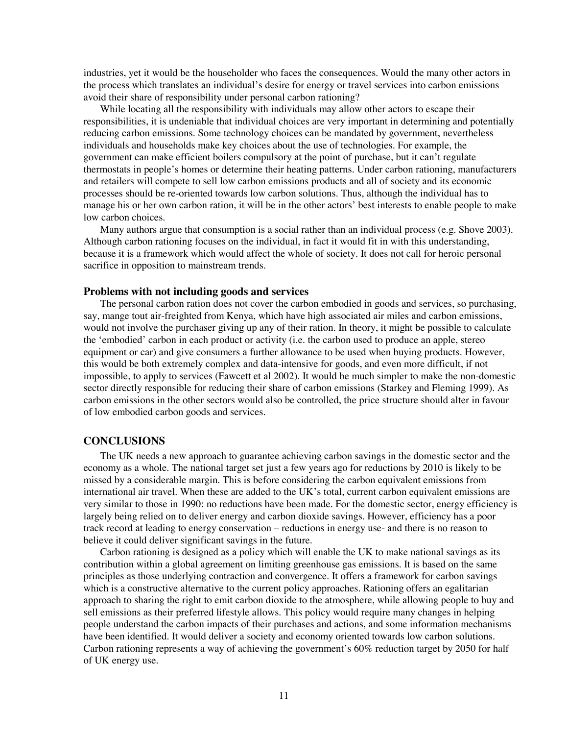industries, yet it would be the householder who faces the consequences. Would the many other actors in the process which translates an individual's desire for energy or travel services into carbon emissions avoid their share of responsibility under personal carbon rationing?

While locating all the responsibility with individuals may allow other actors to escape their responsibilities, it is undeniable that individual choices are very important in determining and potentially reducing carbon emissions. Some technology choices can be mandated by government, nevertheless individuals and households make key choices about the use of technologies. For example, the government can make efficient boilers compulsory at the point of purchase, but it can't regulate thermostats in people's homes or determine their heating patterns. Under carbon rationing, manufacturers and retailers will compete to sell low carbon emissions products and all of society and its economic processes should be re-oriented towards low carbon solutions. Thus, although the individual has to manage his or her own carbon ration, it will be in the other actors' best interests to enable people to make low carbon choices.

Many authors argue that consumption is a social rather than an individual process (e.g. Shove 2003). Although carbon rationing focuses on the individual, in fact it would fit in with this understanding, because it is a framework which would affect the whole of society. It does not call for heroic personal sacrifice in opposition to mainstream trends.

#### **Problems with not including goods and services**

The personal carbon ration does not cover the carbon embodied in goods and services, so purchasing, say, mange tout air-freighted from Kenya, which have high associated air miles and carbon emissions, would not involve the purchaser giving up any of their ration. In theory, it might be possible to calculate the 'embodied' carbon in each product or activity (i.e. the carbon used to produce an apple, stereo equipment or car) and give consumers a further allowance to be used when buying products. However, this would be both extremely complex and data-intensive for goods, and even more difficult, if not impossible, to apply to services (Fawcett et al 2002). It would be much simpler to make the non-domestic sector directly responsible for reducing their share of carbon emissions (Starkey and Fleming 1999). As carbon emissions in the other sectors would also be controlled, the price structure should alter in favour of low embodied carbon goods and services.

### **CONCLUSIONS**

The UK needs a new approach to guarantee achieving carbon savings in the domestic sector and the economy as a whole. The national target set just a few years ago for reductions by 2010 is likely to be missed by a considerable margin. This is before considering the carbon equivalent emissions from international air travel. When these are added to the UK's total, current carbon equivalent emissions are very similar to those in 1990: no reductions have been made. For the domestic sector, energy efficiency is largely being relied on to deliver energy and carbon dioxide savings. However, efficiency has a poor track record at leading to energy conservation – reductions in energy use- and there is no reason to believe it could deliver significant savings in the future.

Carbon rationing is designed as a policy which will enable the UK to make national savings as its contribution within a global agreement on limiting greenhouse gas emissions. It is based on the same principles as those underlying contraction and convergence. It offers a framework for carbon savings which is a constructive alternative to the current policy approaches. Rationing offers an egalitarian approach to sharing the right to emit carbon dioxide to the atmosphere, while allowing people to buy and sell emissions as their preferred lifestyle allows. This policy would require many changes in helping people understand the carbon impacts of their purchases and actions, and some information mechanisms have been identified. It would deliver a society and economy oriented towards low carbon solutions. Carbon rationing represents a way of achieving the government's 60% reduction target by 2050 for half of UK energy use.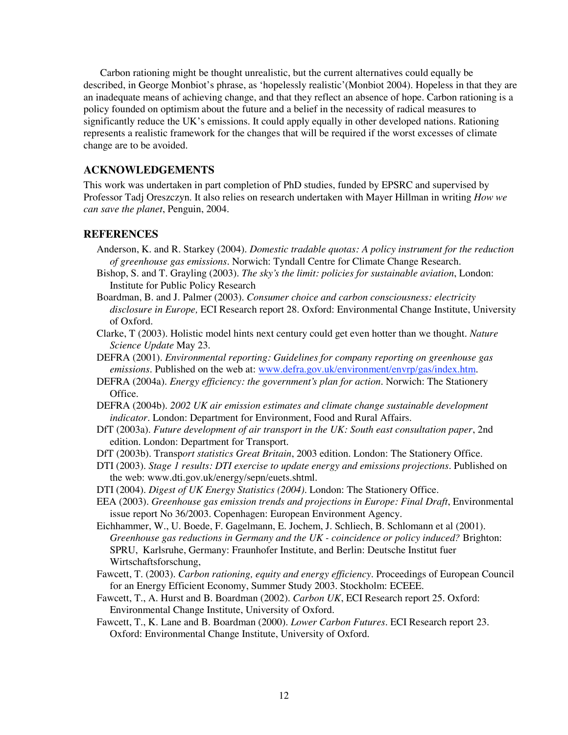Carbon rationing might be thought unrealistic, but the current alternatives could equally be described, in George Monbiot's phrase, as 'hopelessly realistic'(Monbiot 2004). Hopeless in that they are an inadequate means of achieving change, and that they reflect an absence of hope. Carbon rationing is a policy founded on optimism about the future and a belief in the necessity of radical measures to significantly reduce the UK's emissions. It could apply equally in other developed nations. Rationing represents a realistic framework for the changes that will be required if the worst excesses of climate change are to be avoided.

# **ACKNOWLEDGEMENTS**

This work was undertaken in part completion of PhD studies, funded by EPSRC and supervised by Professor Tadj Oreszczyn. It also relies on research undertaken with Mayer Hillman in writing *How we can save the planet*, Penguin, 2004.

## **REFERENCES**

- Anderson, K. and R. Starkey (2004). *Domestic tradable quotas: A policy instrument for the reduction of greenhouse gas emissions*. Norwich: Tyndall Centre for Climate Change Research.
- Bishop, S. and T. Grayling (2003). *The sky's the limit: policies for sustainable aviation*, London: Institute for Public Policy Research
- Boardman, B. and J. Palmer (2003). *Consumer choice and carbon consciousness: electricity disclosure in Europe,* ECI Research report 28. Oxford: Environmental Change Institute, University of Oxford.
- Clarke, T (2003). Holistic model hints next century could get even hotter than we thought*. Nature Science Update* May 23.
- DEFRA (2001). *Environmental reporting: Guidelines for company reporting on greenhouse gas emissions*. Published on the web at: www.defra.gov.uk/environment/envrp/gas/index.htm.
- DEFRA (2004a). *Energy efficiency: the government's plan for action*. Norwich: The Stationery Office.
- DEFRA (2004b). *2002 UK air emission estimates and climate change sustainable development indicator.* London: Department for Environment, Food and Rural Affairs.
- DfT (2003a). *Future development of air transport in the UK: South east consultation paper*, 2nd edition. London: Department for Transport.
- DfT (2003b). Transp*ort statistics Great Britain*, 2003 edition. London: The Stationery Office.
- DTI (2003). *Stage 1 results: DTI exercise to update energy and emissions projections*. Published on the web: www.dti.gov.uk/energy/sepn/euets.shtml.
- DTI (2004). *Digest of UK Energy Statistics (2004)*. London: The Stationery Office.
- EEA (2003). *Greenhouse gas emission trends and projections in Europe: Final Draft*, Environmental issue report No 36/2003. Copenhagen: European Environment Agency.
- Eichhammer, W., U. Boede, F. Gagelmann, E. Jochem, J. Schliech, B. Schlomann et al (2001). *Greenhouse gas reductions in Germany and the UK - coincidence or policy induced?* Brighton: SPRU, Karlsruhe, Germany: Fraunhofer Institute, and Berlin: Deutsche Institut fuer Wirtschaftsforschung,
- Fawcett, T. (2003). *Carbon rationing, equity and energy efficiency*. Proceedings of European Council for an Energy Efficient Economy, Summer Study 2003. Stockholm: ECEEE.
- Fawcett, T., A. Hurst and B. Boardman (2002). *Carbon UK*, ECI Research report 25. Oxford: Environmental Change Institute, University of Oxford.
- Fawcett, T., K. Lane and B. Boardman (2000). *Lower Carbon Futures*. ECI Research report 23. Oxford: Environmental Change Institute, University of Oxford.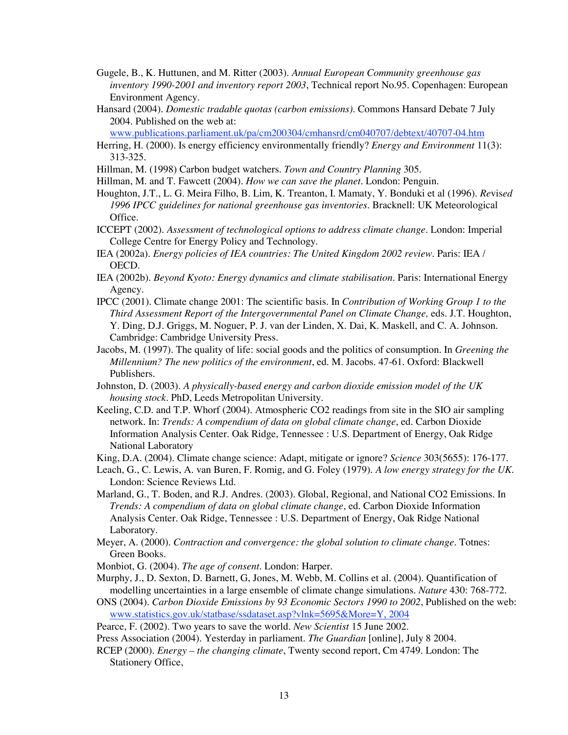Gugele, B., K. Huttunen, and M. Ritter (2003). *Annual European Community greenhouse gas inventory 1990-2001 and inventory report 2003*, Technical report No.95. Copenhagen: European Environment Agency.

Hansard (2004). *Domestic tradable quotas (carbon emissions).* Commons Hansard Debate 7 July 2004. Published on the web at:

www.publications.parliament.uk/pa/cm200304/cmhansrd/cm040707/debtext/40707-04.htm

- Herring, H. (2000). Is energy efficiency environmentally friendly? *Energy and Environment* 11(3): 313-325.
- Hillman, M. (1998) Carbon budget watchers. *Town and Country Planning* 305.
- Hillman, M. and T. Fawcett (2004). *How we can save the planet*. London: Penguin.
- Houghton, J.T., L. G. Meira Filho, B. Lim, K. Treanton, I. Mamaty, Y. Bonduki et al (1996). *Re*vis*ed 1996 IPCC guidelines for national greenhouse gas inventories*. Bracknell: UK Meteorological Office.
- ICCEPT (2002). *Assessment of technological options to address climate change*. London: Imperial College Centre for Energy Policy and Technology.
- IEA (2002a). *Energy policies of IEA countries: The United Kingdom 2002 review.* Paris: IEA / OECD.
- IEA (2002b). *Beyond Kyoto: Energy dynamics and climate stabilisation*. Paris: International Energy Agency.
- IPCC (2001). Climate change 2001: The scientific basis. In *Contribution of Working Group 1 to the Third Assessment Report of the Intergovernmental Panel on Climate Change,* eds. J.T. Houghton, Y. Ding, D.J. Griggs, M. Noguer, P. J. van der Linden, X. Dai, K. Maskell, and C. A. Johnson. Cambridge: Cambridge University Press.
- Jacobs, M. (1997). The quality of life: social goods and the politics of consumption. In *Greening the Millennium? The new politics of the environment*, ed. M. Jacobs. 47-61. Oxford: Blackwell Publishers.
- Johnston, D. (2003). *A physically-based energy and carbon dioxide emission model of the UK housing stock*. PhD, Leeds Metropolitan University.
- Keeling, C.D. and T.P. Whorf (2004). Atmospheric CO2 readings from site in the SIO air sampling network. In: *Trends: A compendium of data on global climate change*, ed*.* Carbon Dioxide Information Analysis Center. Oak Ridge, Tennessee : U.S. Department of Energy, Oak Ridge National Laboratory

King, D.A. (2004). Climate change science: Adapt, mitigate or ignore? *Science* 303(5655): 176-177.

- Leach, G., C. Lewis, A. van Buren, F. Romig, and G. Foley (1979). *A low energy strategy for the UK*. London: Science Reviews Ltd.
- Marland, G., T. Boden, and R.J. Andres. (2003). Global, Regional, and National CO2 Emissions. In *Trends: A compendium of data on global climate change*, ed*.* Carbon Dioxide Information Analysis Center. Oak Ridge, Tennessee : U.S. Department of Energy, Oak Ridge National Laboratory.
- Meyer, A. (2000). *Contraction and convergence: the global solution to climate change.* Totnes: Green Books.
- Monbiot, G. (2004). *The age of consent*. London: Harper.
- Murphy, J., D. Sexton, D. Barnett, G, Jones, M. Webb, M. Collins et al. (2004). Quantification of modelling uncertainties in a large ensemble of climate change simulations. *Nature* 430: 768-772.
- ONS (2004). *Carbon Dioxide Emissions by 93 Economic Sectors 1990 to 2002*, Published on the web: www.statistics.gov.uk/statbase/ssdataset.asp?vlnk=5695&More=Y, 2004
- Pearce, F. (2002). Two years to save the world. *New Scientist* 15 June 2002.
- Press Association (2004). Yesterday in parliament. *The Guardian* [online], July 8 2004.
- RCEP (2000). *Energy – the changing climate*, Twenty second report, Cm 4749. London: The Stationery Office,